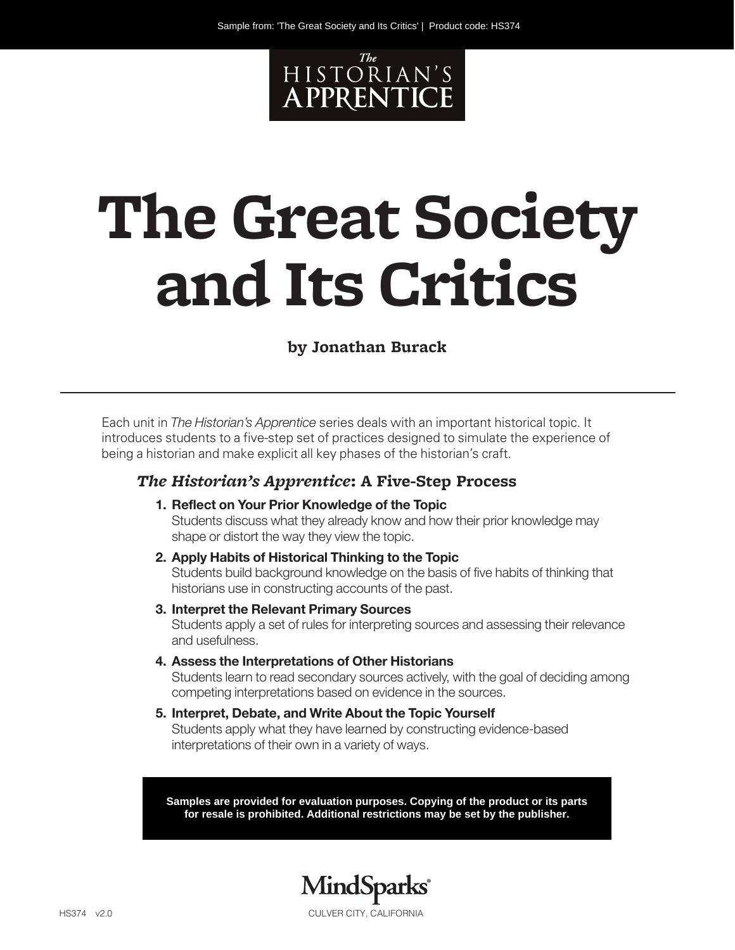

# **The Great Society and Its Critics**

#### **by Jonathan Burack**

Each unit in *The Historian's Apprentice* series deals with an important historical topic. It introduces students to a five-step set of practices designed to simulate the experience of being a historian and make explicit all key phases of the historian's craft.

#### *The Historian's Apprentice***: A Five-Step Process**

- **1. Reflect on Your Prior Knowledge of the Topic** Students discuss what they already know and how their prior knowledge may shape or distort the way they view the topic.
- **2. Apply Habits of Historical Thinking to the Topic** Students build background knowledge on the basis of five habits of thinking that historians use in constructing accounts of the past.
- **3. Interpret the Relevant Primary Sources** Students apply a set of rules for interpreting sources and assessing their relevance and usefulness.
- **4. Assess the Interpretations of Other Historians**

Students learn to read secondary sources actively, with the goal of deciding among competing interpretations based on evidence in the sources.

**5. Interpret, Debate, and Write About the Topic Yourself** Students apply what they have learned by constructing evidence-based interpretations of their own in a variety of ways.

**Samples are provided for evaluation purposes. Copying of the product or its parts for resale is prohibited. Additional restrictions may be set by the publisher.**

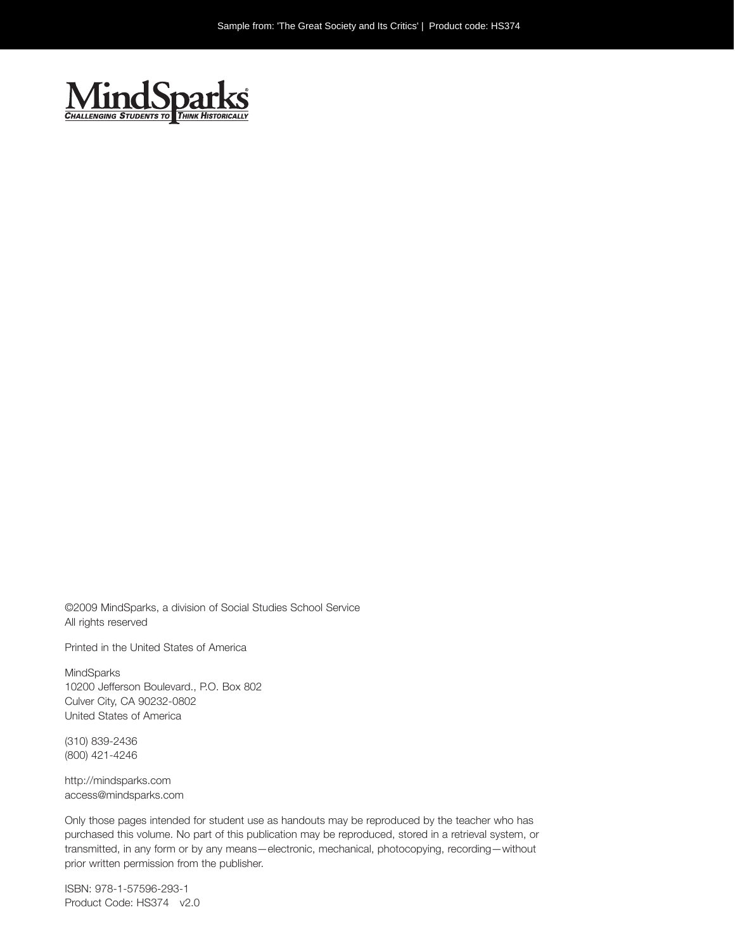

©2009 MindSparks, a division of Social Studies School Service All rights reserved

Printed in the United States of America

MindSparks 10200 Jefferson Boulevard., P.O. Box 802 Culver City, CA 90232-0802 United States of America

(310) 839-2436 (800) 421-4246

http://mindsparks.com access@mindsparks.com

Only those pages intended for student use as handouts may be reproduced by the teacher who has purchased this volume. No part of this publication may be reproduced, stored in a retrieval system, or transmitted, in any form or by any means—electronic, mechanical, photocopying, recording—without prior written permission from the publisher.

ISBN: 978-1-57596-293-1 Product Code: HS374 v2.0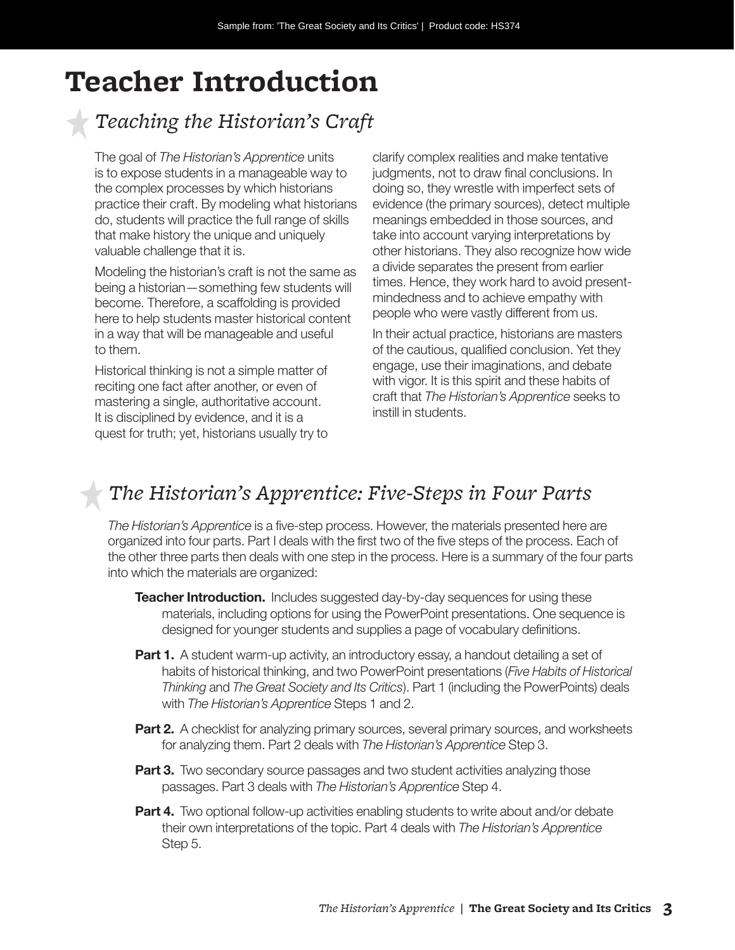## **Teacher Introduction**

## *Teaching the Historian's Craft*

The goal of *The Historian's Apprentice* units is to expose students in a manageable way to the complex processes by which historians practice their craft. By modeling what historians do, students will practice the full range of skills that make history the unique and uniquely valuable challenge that it is.

Modeling the historian's craft is not the same as being a historian—something few students will become. Therefore, a scaffolding is provided here to help students master historical content in a way that will be manageable and useful to them.

Historical thinking is not a simple matter of reciting one fact after another, or even of mastering a single, authoritative account. It is disciplined by evidence, and it is a quest for truth; yet, historians usually try to

clarify complex realities and make tentative judgments, not to draw final conclusions. In doing so, they wrestle with imperfect sets of evidence (the primary sources), detect multiple meanings embedded in those sources, and take into account varying interpretations by other historians. They also recognize how wide a divide separates the present from earlier times. Hence, they work hard to avoid presentmindedness and to achieve empathy with people who were vastly different from us.

In their actual practice, historians are masters of the cautious, qualified conclusion. Yet they engage, use their imaginations, and debate with vigor. It is this spirit and these habits of craft that *The Historian's Apprentice* seeks to instill in students.

## *The Historian's Apprentice: Five-Steps in Four Parts*

*The Historian's Apprentice* is a five-step process. However, the materials presented here are organized into four parts. Part I deals with the first two of the five steps of the process. Each of the other three parts then deals with one step in the process. Here is a summary of the four parts into which the materials are organized:

- **Teacher Introduction.** Includes suggested day-by-day sequences for using these materials, including options for using the PowerPoint presentations. One sequence is designed for younger students and supplies a page of vocabulary definitions.
- **Part 1.** A student warm-up activity, an introductory essay, a handout detailing a set of habits of historical thinking, and two PowerPoint presentations (*Five Habits of Historical Thinking* and *The Great Society and Its Critics*). Part 1 (including the PowerPoints) deals with *The Historian's Apprentice* Steps 1 and 2.
- **Part 2.** A checklist for analyzing primary sources, several primary sources, and worksheets for analyzing them. Part 2 deals with *The Historian's Apprentice* Step 3.
- **Part 3.** Two secondary source passages and two student activities analyzing those passages. Part 3 deals with *The Historian's Apprentice* Step 4.
- **Part 4.** Two optional follow-up activities enabling students to write about and/or debate their own interpretations of the topic. Part 4 deals with *The Historian's Apprentice* Step 5.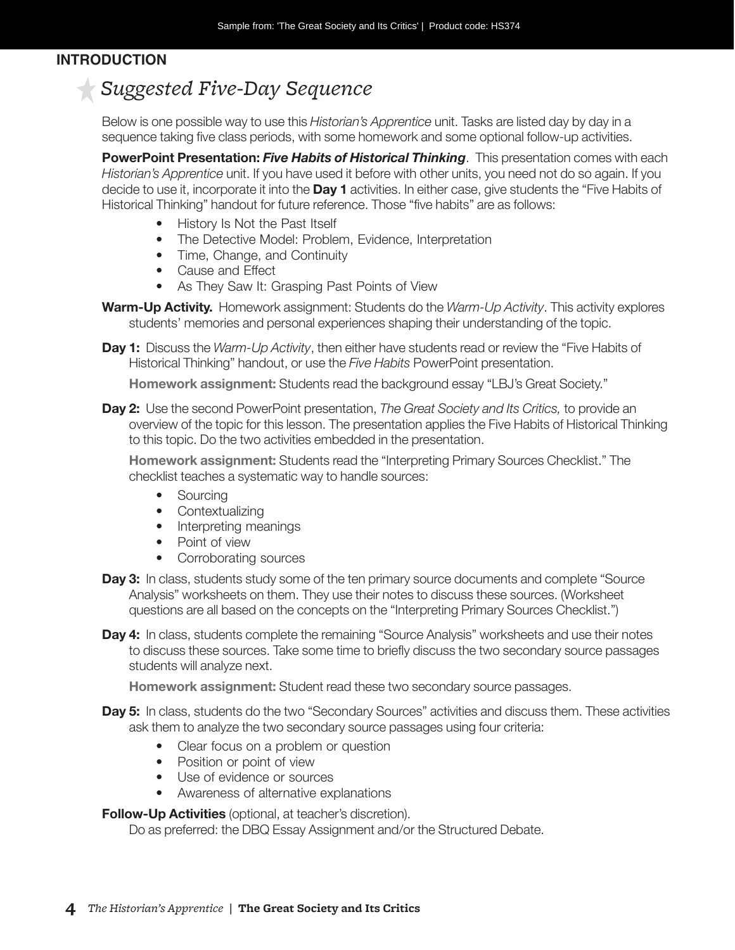#### *Teacher* **INTRODUCTION**

## *Suggested Five-Day Sequence*

Below is one possible way to use this *Historian's Apprentice* unit. Tasks are listed day by day in a sequence taking five class periods, with some homework and some optional follow-up activities.

**PowerPoint Presentation:** *Five Habits of Historical Thinking*. This presentation comes with each *Historian's Apprentice* unit. If you have used it before with other units, you need not do so again. If you decide to use it, incorporate it into the **Day 1** activities. In either case, give students the "Five Habits of Historical Thinking" handout for future reference. Those "five habits" are as follows:

- History Is Not the Past Itself
- The Detective Model: Problem, Evidence, Interpretation
- Time, Change, and Continuity
- Cause and Effect
- As They Saw It: Grasping Past Points of View

**Warm-Up Activity.** Homework assignment: Students do the *Warm-Up Activity*. This activity explores students' memories and personal experiences shaping their understanding of the topic.

**Day 1:** Discuss the *Warm-Up Activity*, then either have students read or review the "Five Habits of Historical Thinking" handout, or use the *Five Habits* PowerPoint presentation.

**Homework assignment:** Students read the background essay "LBJ's Great Society."

**Day 2:** Use the second PowerPoint presentation, *The Great Society and Its Critics,* to provide an overview of the topic for this lesson. The presentation applies the Five Habits of Historical Thinking to this topic. Do the two activities embedded in the presentation.

**Homework assignment:** Students read the "Interpreting Primary Sources Checklist." The checklist teaches a systematic way to handle sources:

- Sourcing
- Contextualizing
- Interpreting meanings
- Point of view
- Corroborating sources
- **Day 3:** In class, students study some of the ten primary source documents and complete "Source Analysis" worksheets on them. They use their notes to discuss these sources. (Worksheet questions are all based on the concepts on the "Interpreting Primary Sources Checklist.")
- **Day 4:** In class, students complete the remaining "Source Analysis" worksheets and use their notes to discuss these sources. Take some time to briefly discuss the two secondary source passages students will analyze next.

**Homework assignment:** Student read these two secondary source passages.

- **Day 5:** In class, students do the two "Secondary Sources" activities and discuss them. These activities ask them to analyze the two secondary source passages using four criteria:
	- Clear focus on a problem or question
	- Position or point of view
	- Use of evidence or sources
	- Awareness of alternative explanations

**Follow-Up Activities** (optional, at teacher's discretion).

Do as preferred: the DBQ Essay Assignment and/or the Structured Debate.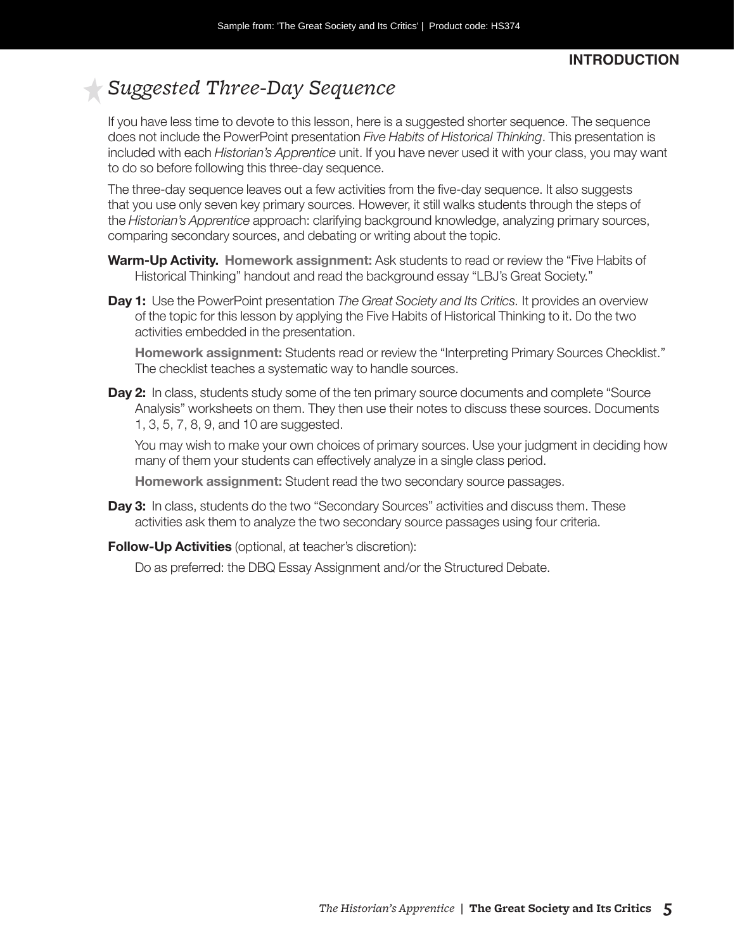## *Suggested Three-Day Sequence*

If you have less time to devote to this lesson, here is a suggested shorter sequence. The sequence does not include the PowerPoint presentation *Five Habits of Historical Thinking*. This presentation is included with each *Historian's Apprentice* unit. If you have never used it with your class, you may want to do so before following this three-day sequence.

The three-day sequence leaves out a few activities from the five-day sequence. It also suggests that you use only seven key primary sources. However, it still walks students through the steps of the *Historian's Apprentice* approach: clarifying background knowledge, analyzing primary sources, comparing secondary sources, and debating or writing about the topic.

- **Warm-Up Activity. Homework assignment:** Ask students to read or review the "Five Habits of Historical Thinking" handout and read the background essay "LBJ's Great Society."
- **Day 1:** Use the PowerPoint presentation *The Great Society and Its Critics.* It provides an overview of the topic for this lesson by applying the Five Habits of Historical Thinking to it. Do the two activities embedded in the presentation.

**Homework assignment:** Students read or review the "Interpreting Primary Sources Checklist." The checklist teaches a systematic way to handle sources.

**Day 2:** In class, students study some of the ten primary source documents and complete "Source Analysis" worksheets on them. They then use their notes to discuss these sources. Documents 1, 3, 5, 7, 8, 9, and 10 are suggested.

You may wish to make your own choices of primary sources. Use your judgment in deciding how many of them your students can effectively analyze in a single class period.

**Homework assignment:** Student read the two secondary source passages.

**Day 3:** In class, students do the two "Secondary Sources" activities and discuss them. These activities ask them to analyze the two secondary source passages using four criteria.

**Follow-Up Activities** (optional, at teacher's discretion):

Do as preferred: the DBQ Essay Assignment and/or the Structured Debate.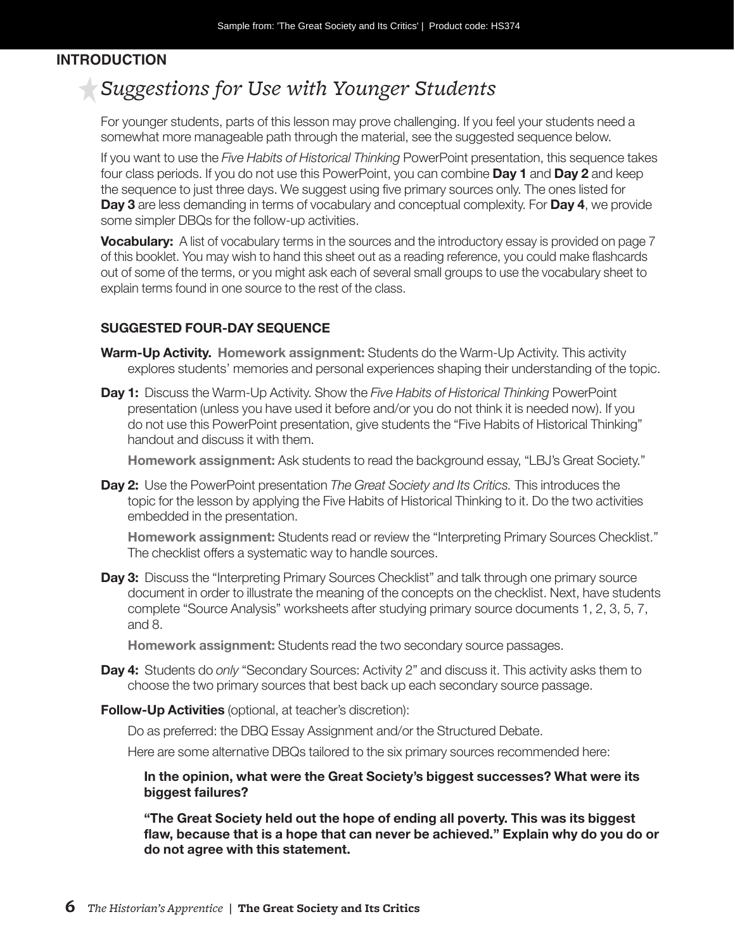#### *Teacher* **INTRODUCTION**

## *Suggestions for Use with Younger Students*

For younger students, parts of this lesson may prove challenging. If you feel your students need a somewhat more manageable path through the material, see the suggested sequence below.

If you want to use the *Five Habits of Historical Thinking* PowerPoint presentation, this sequence takes four class periods. If you do not use this PowerPoint, you can combine **Day 1** and **Day 2** and keep the sequence to just three days. We suggest using five primary sources only. The ones listed for **Day 3** are less demanding in terms of vocabulary and conceptual complexity. For **Day 4**, we provide some simpler DBQs for the follow-up activities.

**Vocabulary:** A list of vocabulary terms in the sources and the introductory essay is provided on page 7 of this booklet. You may wish to hand this sheet out as a reading reference, you could make flashcards out of some of the terms, or you might ask each of several small groups to use the vocabulary sheet to explain terms found in one source to the rest of the class.

#### **SUGGESTED FOUR-DAY SEQUENCE**

- **Warm-Up Activity. Homework assignment:** Students do the Warm-Up Activity. This activity explores students' memories and personal experiences shaping their understanding of the topic.
- **Day 1:** Discuss the Warm-Up Activity. Show the *Five Habits of Historical Thinking* PowerPoint presentation (unless you have used it before and/or you do not think it is needed now). If you do not use this PowerPoint presentation, give students the "Five Habits of Historical Thinking" handout and discuss it with them.

**Homework assignment:** Ask students to read the background essay, "LBJ's Great Society."

**Day 2:** Use the PowerPoint presentation *The Great Society and Its Critics.* This introduces the topic for the lesson by applying the Five Habits of Historical Thinking to it. Do the two activities embedded in the presentation.

**Homework assignment:** Students read or review the "Interpreting Primary Sources Checklist." The checklist offers a systematic way to handle sources.

**Day 3:** Discuss the "Interpreting Primary Sources Checklist" and talk through one primary source document in order to illustrate the meaning of the concepts on the checklist. Next, have students complete "Source Analysis" worksheets after studying primary source documents 1, 2, 3, 5, 7, and 8.

**Homework assignment:** Students read the two secondary source passages.

- **Day 4:** Students do *only* "Secondary Sources: Activity 2" and discuss it. This activity asks them to choose the two primary sources that best back up each secondary source passage.
- **Follow-Up Activities** (optional, at teacher's discretion):

Do as preferred: the DBQ Essay Assignment and/or the Structured Debate.

Here are some alternative DBQs tailored to the six primary sources recommended here:

**In the opinion, what were the Great Society's biggest successes? What were its biggest failures?**

**"The Great Society held out the hope of ending all poverty. This was its biggest flaw, because that is a hope that can never be achieved." Explain why do you do or do not agree with this statement.**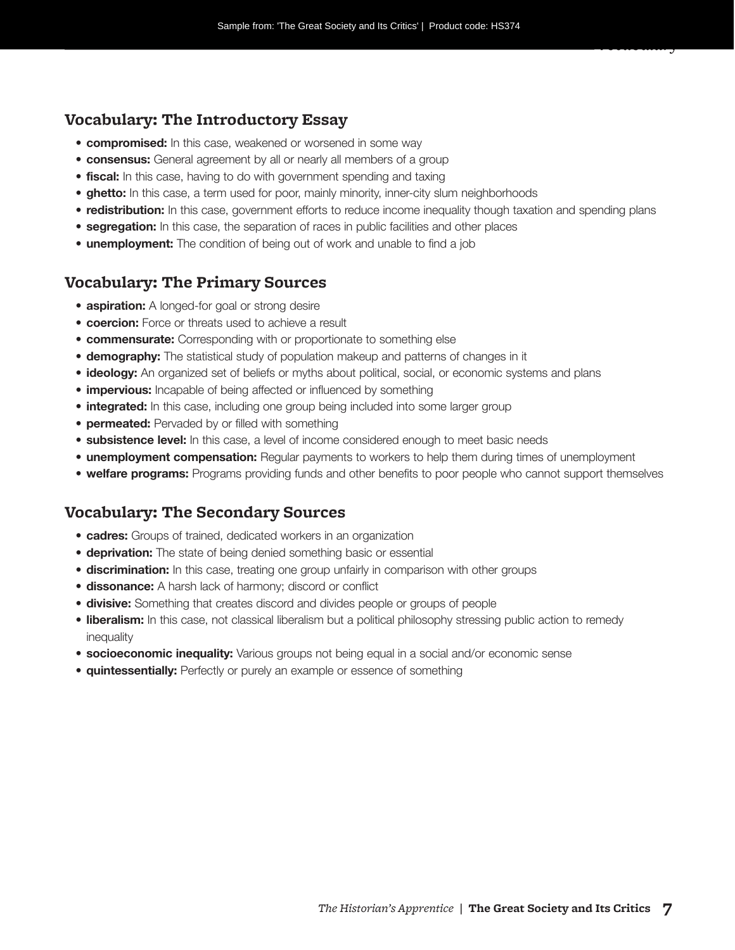*Vocabulary*

#### **Vocabulary: The Introductory Essay**

- **compromised:** In this case, weakened or worsened in some way
- **consensus:** General agreement by all or nearly all members of a group
- **fiscal:** In this case, having to do with government spending and taxing
- **ghetto:** In this case, a term used for poor, mainly minority, inner-city slum neighborhoods
- **redistribution:** In this case, government efforts to reduce income inequality though taxation and spending plans
- **segregation:** In this case, the separation of races in public facilities and other places
- **unemployment:** The condition of being out of work and unable to find a job

#### **Vocabulary: The Primary Sources**

- **aspiration:** A longed-for goal or strong desire
- **coercion:** Force or threats used to achieve a result
- **commensurate:** Corresponding with or proportionate to something else
- **demography:** The statistical study of population makeup and patterns of changes in it
- **ideology:** An organized set of beliefs or myths about political, social, or economic systems and plans
- **impervious:** Incapable of being affected or influenced by something
- **integrated:** In this case, including one group being included into some larger group
- **permeated:** Pervaded by or filled with something
- **subsistence level:** In this case, a level of income considered enough to meet basic needs
- **unemployment compensation:** Regular payments to workers to help them during times of unemployment
- **welfare programs:** Programs providing funds and other benefits to poor people who cannot support themselves

#### **Vocabulary: The Secondary Sources**

- **cadres:** Groups of trained, dedicated workers in an organization
- **deprivation:** The state of being denied something basic or essential
- **discrimination:** In this case, treating one group unfairly in comparison with other groups
- **dissonance:** A harsh lack of harmony; discord or conflict
- **divisive:** Something that creates discord and divides people or groups of people
- **liberalism:** In this case, not classical liberalism but a political philosophy stressing public action to remedy inequality
- **socioeconomic inequality:** Various groups not being equal in a social and/or economic sense
- **quintessentially:** Perfectly or purely an example or essence of something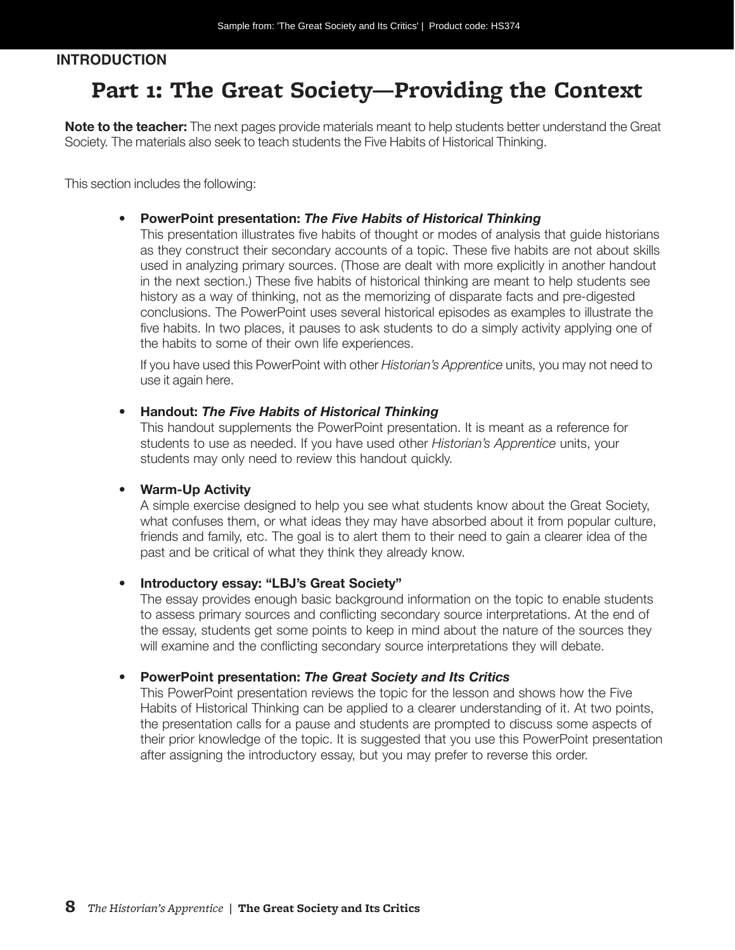## **Part 1: The Great Society—Providing the Context**

**Note to the teacher:** The next pages provide materials meant to help students better understand the Great Society. The materials also seek to teach students the Five Habits of Historical Thinking.

This section includes the following:

#### • **PowerPoint presentation:** *The Five Habits of Historical Thinking*

This presentation illustrates five habits of thought or modes of analysis that guide historians as they construct their secondary accounts of a topic. These five habits are not about skills used in analyzing primary sources. (Those are dealt with more explicitly in another handout in the next section.) These five habits of historical thinking are meant to help students see history as a way of thinking, not as the memorizing of disparate facts and pre-digested conclusions. The PowerPoint uses several historical episodes as examples to illustrate the five habits. In two places, it pauses to ask students to do a simply activity applying one of the habits to some of their own life experiences.

If you have used this PowerPoint with other *Historian's Apprentice* units, you may not need to use it again here.

#### • **Handout:** *The Five Habits of Historical Thinking*

This handout supplements the PowerPoint presentation. It is meant as a reference for students to use as needed. If you have used other *Historian's Apprentice* units, your students may only need to review this handout quickly.

#### • **Warm-Up Activity**

A simple exercise designed to help you see what students know about the Great Society, what confuses them, or what ideas they may have absorbed about it from popular culture, friends and family, etc. The goal is to alert them to their need to gain a clearer idea of the past and be critical of what they think they already know.

#### • **Introductory essay: "LBJ's Great Society"**

The essay provides enough basic background information on the topic to enable students to assess primary sources and conflicting secondary source interpretations. At the end of the essay, students get some points to keep in mind about the nature of the sources they will examine and the conflicting secondary source interpretations they will debate.

#### • **PowerPoint presentation:** *The Great Society and Its Critics*

This PowerPoint presentation reviews the topic for the lesson and shows how the Five Habits of Historical Thinking can be applied to a clearer understanding of it. At two points, the presentation calls for a pause and students are prompted to discuss some aspects of their prior knowledge of the topic. It is suggested that you use this PowerPoint presentation after assigning the introductory essay, but you may prefer to reverse this order.